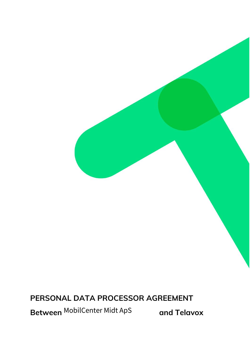**PERSONAL DATA PROCESSOR AGREEMENT**

**Between** MobilCenter Midt ApS

**and Telavox**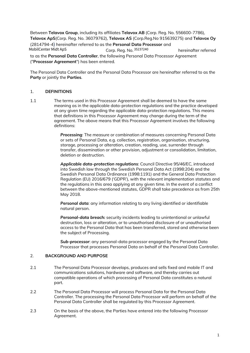Between **Telavox Group**, including its affiliates **Telavox AB** (Corp. Reg. No. 556600-7786), **Telavox ApS**(Corp. Reg. No. 36079762), **Telavox AS** (Corp.Reg.No 915639275) and **Telavox Oy** (2814794-4) hereinafter referred to as the **Personal Data Processor** and Corp. Reg. No. hereinafter referred MobilCenter Midt ApS 35237240to as the **Personal Data Controller**, the following Personal Data Processor Agreement

("**Processor Agreement**") has been entered.

The Personal Data Controller and the Personal Data Processor are hereinafter referred to as the **Party** or jointly the **Parties**.

## 1. **DEFINITIONS**

1.1 The terms used in this Processor Agreement shall be deemed to have the same meaning as in the applicable data-protection regulations and the practice developed at any given time regarding the applicable data-protection regulations. This means that definitions in this Processor Agreement may change during the term of the agreement. The above means that this Processor Agreement involves the following definitions:

> *Processing:* The measure or combination of measures concerning Personal Data or sets of Personal Data, e.g. collection, registration, organisation, structuring, storage, processing or alteration, creation, reading, use, surrender through transfer, dissemination or other provision, adjustment or consolidation, limitation, deletion or destruction.

*Applicable data-protection regulations*: Council Directive 95/46/EC, introduced into Swedish law through the Swedish Personal Data Act (1998:204) and the Swedish Personal Data Ordinance (1998:1191) and the General Data Protection Regulation (EU) 2016/679 ('GDPR'), with the relevant implementation statutes and the regulations in this area applying at any given time. In the event of a conflict between the above-mentioned statutes, GDPR shall take precedence as from 25th May 2018.

*Personal data:* any information relating to any living identified or identifiable natural person.

*Personal-data breach:* security incidents leading to unintentional or unlawful destruction, loss or alteration, or to unauthorised disclosure of or unauthorised access to the Personal Data that has been transferred, stored and otherwise been the subject of Processing.

*Sub-processor*: any personal-data processor engaged by the Personal Data Processor that processes Personal Data on behalf of the Personal Data Controller.

#### 2. **BACKGROUND AND PURPOSE**

- 2.1 The Personal Data Processor develops, produces and sells fixed and mobile IT and communications solutions, hardware and software, and thereby carries out compatible operations of which processing of Personal Data constitutes a natural part.
- 2.2 The Personal Data Processor will process Personal Data for the Personal Data Controller. The processing the Personal Data Processor will perform on behalf of the Personal Data Controller shall be regulated by this Processor Agreement.
- 2.3 On the basis of the above, the Parties have entered into the following Processor Agreement.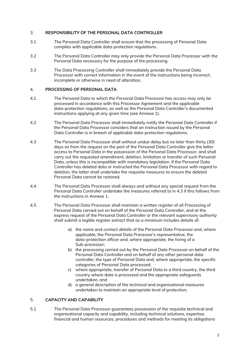# 3. **RESPONSIBILITY OF THE PERSONAL DATA CONTROLLER**

- 3.1 The Personal Data Controller shall ensure that the processing of Personal Data complies with applicable data-protection regulations.
- 3.2 The Personal Data Controller may only provide the Personal Data Processor with the Personal Data necessary for the purpose of the processing.
- 3.3 The Data Processing Controller shall immediately provide the Personal Data Processor with correct information in the event of the instructions being incorrect, incomplete or otherwise in need of alteration.

## 4. **PROCESSING OF PERSONAL DATA**

- 4.1 The Personal Data to which the Personal Data Processor has access may only be processed in accordance with this Processor Agreement and the applicable data-protection regulations, as well as the Personal Data Controller's documented instructions applying at any given time (see Annexe 1).
- 4.2 The Personal Data Processor shall immediately notify the Personal Data Controller if the Personal Data Processor considers that an instruction issued by the Personal Data Controller is in breach of applicable data-protection regulations.
- 4.3 The Personal Data Processor shall without undue delay but no later than thirty (30) days as from the request on the part of the Personal Data Controller give the latter access to Personal Data in the possession of the Personal Data Processor, and shall carry out the requested amendment, deletion, limitation or transfer of such Personal Data, unless this is incompatible with mandatory legislation. If the Personal Data Controller has deleted data or instructed the Personal Data Processor with regard to deletion, the latter shall undertake the requisite measures to ensure the deleted Personal Data cannot be restored.
- 4.4 The Personal Data Processor shall always and without any special request from the Personal Data Controller undertake the measures referred to in 4.3 if this follows from the instructions in Annexe 1.
- 4.5 The Personal Data Processor shall maintain a written register of all Processing of Personal Data carried out on behalf of the Personal Data Controller, and at the express request of the Personal Data Controller or the relevant supervisory authority shall submit a legible register extract that as a minimum includes details of:
	- a) the name and contact details of the Personal Data Processor and, where applicable, the Personal Data Processor's representative, the data-protection officer and, where appropriate, the hiring of a Sub-processor;
	- b) the processing carried out by the Personal Data Processor on behalf of the Personal Data Controller and on behalf of any other personal data controller, the type of Personal Data and, where appropriate, the specific categories of Personal Data processed;
	- c) where appropriate, transfer of Personal Data to a third country, the third country where data is processed and the appropriate safeguards undertaken, and
	- d) a general description of the technical and organisational measures undertaken to maintain an appropriate level of protection;

# 5. **CAPACITY AND CAPABILITY**

5.1 The Personal Data Processor guarantees possession of the requisite technical and organisational capacity and capability, including technical solutions, expertise, financial and human resources, procedures and methods for meeting its obligations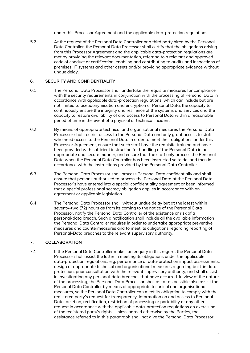under this Processor Agreement and the applicable data-protection regulations.

5.2 At the request of the Personal Data Controller or a third party hired by the Personal Data Controller, the Personal Data Processor shall certify that the obligations arising from this Processor Agreement and the applicable data-protection regulations are met by providing the relevant documentation, referring to a relevant and approved code of conduct or certification, enabling and contributing to audits and inspections of premises, IT systems and other assets and/or providing appropriate evidence without undue delay.

#### 6. **SECURITY AND CONFIDENTIALITY**

- 6.1 The Personal Data Processor shall undertake the requisite measures for compliance with the security requirements in conjunction with the processing of Personal Data in accordance with applicable data-protection regulations, which can include but are not limited to pseudonymisation and encryption of Personal Data, the capacity to continuously ensure the integrity and resilience of the systems and services and the capacity to restore availability of and access to Personal Data within a reasonable period of time in the event of a physical or technical incident.
- 6.2 By means of appropriate technical and organisational measures the Personal Data Processor shall restrict access to the Personal Data and only grant access to staff who need access to the Personal Data in order to meet their obligations under this Processor Agreement, ensure that such staff have the requisite training and have been provided with sufficient instruction for handling of the Personal Data in an appropriate and secure manner, and ensure that the staff only process the Personal Data when the Personal Data Controller has been instructed so to do, and then in accordance with the instructions provided by the Personal Data Controller.
- 6.3 The Personal Data Processor shall process Personal Data confidentially and shall ensure that persons authorised to process the Personal Data at the Personal Data Processor's have entered into a special confidentiality agreement or been informed that a special professional secrecy obligation applies in accordance with an agreement or applicable legislation.
- 6.4 The Personal Data Processor shall, without undue delay but at the latest within seventy-two (72) hours as from its coming to the notice of the Personal Data Processor, notify the Personal Data Controller of the existence or risk of a personal-data breach. Such a notification shall include all the available information the Personal Data Controller requires in order to undertake appropriate preventive measures and countermeasures and to meet its obligations regarding reporting of Personal-Data breaches to the relevant supervisory authority.

# 7. **COLLABORATION**

7.1 If the Personal Data Controller makes an enquiry in this regard, the Personal Data Processor shall assist the latter in meeting its obligations under the applicable data-protection regulations, e.g. performance of data-protection impact assessments, design of appropriate technical and organisational measures regarding built-in data protection, prior consultation with the relevant supervisory authority, and shall assist in investigating any personal-data breaches that have occurred. In view of the nature of the processing, the Personal Data Processor shall as far as possible also assist the Personal Data Controller by means of appropriate technical and organisational measures, so the Personal Data Controller can meet its obligation to comply with the registered party's request for transparency, information on and access to Personal Data, deletion, rectification, restriction of processing or portability or any other request in accordance with the applicable data-protection regulations on exercising of the registered party's rights. Unless agreed otherwise by the Parties, the assistance referred to in this paragraph shall not give the Personal Data Processor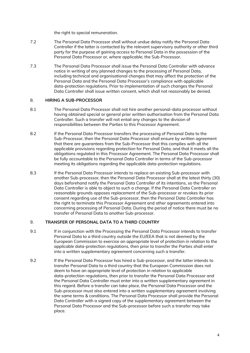the right to special remuneration.

- 7.2 The Personal Data Processor shall without undue delay notify the Personal Data Controller if the latter is contacted by the relevant supervisory authority or other third party for the purpose of gaining access to Personal Data in the possession of the Personal Data Processor or, where applicable, the Sub-Processor.
- 7.3 The Personal Data Processor shall issue the Personal Data Controller with advance notice in writing of any planned changes to the processing of Personal Data, including technical and organisational changes that may affect the protection of the Personal Data and the Personal Data Processor's compliance with applicable data-protection regulations. Prior to implementation of such changes the Personal Data Controller shall issue written consent, which shall not reasonably be denied.

#### 8. **HIRING A SUB-PROCESSOR**

- 8.1 The Personal Data Processor shall not hire another personal-data processor without having obtained special or general prior written authorisation from the Personal Data Controller. Such a transfer will not entail any changes to the division of responsibilities between the Parties to this Processor Agreement.
- 8.2 If the Personal Data Processor transfers the processing of Personal Data to the Sub-Processor, then the Personal Data Processor shall ensure by written agreement that there are guarantees from the Sub-Processor that this complies with all the applicable provisions regarding protection for Personal Data, and that it meets all the obligations regulated in this Processor Agreement. The Personal Data Processor shall be fully accountable to the Personal Data Controller in terms of the Sub-processor meeting its obligations regarding the applicable data-protection regulations.
- 8.3 If the Personal Data Processor intends to replace an existing Sub-processor with another Sub-processor, then the Personal Data Processor shall at the latest thirty (30) days beforehand notify the Personal Data Controller of its intentions, so the Personal Data Controller is able to object to such a change. If the Personal Data Controller on reasonable grounds opposes replacement of the Sub-processor or revokes its prior consent regarding use of the Sub-processor, then the Personal Data Controller has the right to terminate this Processor Agreement and other agreements entered into concerning processing of Personal Data. During the period of notice there must be no transfer of Personal Data to another Sub-processor.

#### 9. **TRANSFER OF PERSONAL DATA TO A THIRD COUNTRY**

- 9.1 If in conjunction with the Processing the Personal Data Processor intends to transfer Personal Data to a third country outside the EU/EEA that is not deemed by the European Commission to exercise an appropriate level of protection in relation to the applicable data-protection regulations, then prior to transfer the Parties shall enter into a written supplementary agreement concerning such a transfer.
- 9.2 If the Personal Data Processor has hired a Sub-processor, and the latter intends to transfer Personal Data to a third country that the European Commission does not deem to have an appropriate level of protection in relation to applicable data-protection regulations, then prior to transfer the Personal Data Processor and the Personal Data Controller must enter into a written supplementary agreement in this regard. Before a transfer can take place, the Personal Data Processor and the Sub-processor must also entered into a written supplementary agreement involving the same terms & conditions. The Personal Data Processor shall provide the Personal Data Controller with a signed copy of the supplementary agreement between the Personal Data Processor and the Sub-processor before such a transfer may take place.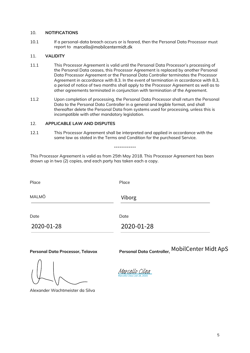#### 10. **NOTIFICATIONS**

10.1 If a personal-data breach occurs or is feared, then the Personal Data Processor must report to marcello@mobilcentermidt.dk

#### 11. **VALIDITY**

- 11.1 This Processor Agreement is valid until the Personal Data Processor's processing of the Personal Data ceases, this Processor Agreement is replaced by another Personal Data Processor Agreement or the Personal Data Controller terminates the Processor Agreement in accordance with 8.3. In the event of termination in accordance with 8.3, a period of notice of two months shall apply to the Processor Agreement as well as to other agreements terminated in conjunction with termination of the Agreement.
- 11.2 Upon completion of processing, the Personal Data Processor shall return the Personal Data to the Personal Data Controller in a general and legible format, and shall thereafter delete the Personal Data from systems used for processing, unless this is incompatible with other mandatory legislation.

#### 12. **APPLICABLE LAW AND DISPUTES**

|              | report to marcello@mobilcentermidt.dk                             |                                                                                                                                                                                                                                                                                                                                                                                                                                                                                                                                   |  |
|--------------|-------------------------------------------------------------------|-----------------------------------------------------------------------------------------------------------------------------------------------------------------------------------------------------------------------------------------------------------------------------------------------------------------------------------------------------------------------------------------------------------------------------------------------------------------------------------------------------------------------------------|--|
| 11.          | <b>VALIDITY</b>                                                   |                                                                                                                                                                                                                                                                                                                                                                                                                                                                                                                                   |  |
| 11.1         |                                                                   | This Processor Agreement is valid until the Personal Data Processor's processing of<br>the Personal Data ceases, this Processor Agreement is replaced by another Personal<br>Data Processor Agreement or the Personal Data Controller terminates the Processor<br>Agreement in accordance with 8.3. In the event of termination in accordance with 8.3,<br>a period of notice of two months shall apply to the Processor Agreement as well as to<br>other agreements terminated in conjunction with termination of the Agreement. |  |
| 11.2         |                                                                   | Upon completion of processing, the Personal Data Processor shall return the Personal<br>Data to the Personal Data Controller in a general and legible format, and shall<br>thereafter delete the Personal Data from systems used for processing, unless this is<br>incompatible with other mandatory legislation.                                                                                                                                                                                                                 |  |
| 12.          | <b>APPLICABLE LAW AND DISPUTES</b>                                |                                                                                                                                                                                                                                                                                                                                                                                                                                                                                                                                   |  |
| 12.1         |                                                                   | This Processor Agreement shall be interpreted and applied in accordance with the<br>same law as stated in the Terms and Condition for the purchased Service.                                                                                                                                                                                                                                                                                                                                                                      |  |
|              |                                                                   |                                                                                                                                                                                                                                                                                                                                                                                                                                                                                                                                   |  |
|              | drawn up in two (2) copies, and each party has taken each a copy. | This Processor Agreement is valid as from 25th May 2018. This Processor Agreement has been                                                                                                                                                                                                                                                                                                                                                                                                                                        |  |
| Place        | Place                                                             |                                                                                                                                                                                                                                                                                                                                                                                                                                                                                                                                   |  |
| <b>MALMÖ</b> |                                                                   | Viborg                                                                                                                                                                                                                                                                                                                                                                                                                                                                                                                            |  |
| Date         | Date                                                              |                                                                                                                                                                                                                                                                                                                                                                                                                                                                                                                                   |  |
|              | 2020-01-28                                                        | 2020-01-28                                                                                                                                                                                                                                                                                                                                                                                                                                                                                                                        |  |
|              |                                                                   |                                                                                                                                                                                                                                                                                                                                                                                                                                                                                                                                   |  |
|              | Personal Data Processor, Telavox                                  | Personal Data Controller MobilCenter Midt ApS                                                                                                                                                                                                                                                                                                                                                                                                                                                                                     |  |

**Personal Data Processor, Telavox**

**Personal Data Controller,**

Alexander Wachtmeister da Silva

Marcello Cilea (Jan 28, 2020) [Marcello Cilea](https://secure.na1.echosign.com/verifier?tx=CBJCHBCAABAAvgVZ45slZFjMgoP6aMic-TfYAudoWhe5)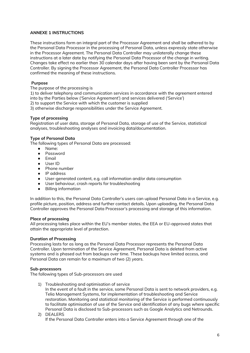# **ANNEXE 1 INSTRUCTIONS**

These instructions form an integral part of the Processor Agreement and shall be adhered to by the Personal Data Processor in the processing of Personal Data, unless expressly state otherwise in the Processor Agreement. The Personal Data Controller may unilaterally change these instructions at a later date by notifying the Personal Data Processor of the change in writing. Changes take effect no earlier than 30 calendar days after having been sent by the Personal Data Controller. By signing the Processor Agreement, the Personal Data Controller Processor has confirmed the meaning of these instructions.

#### **Purpose**

The purpose of the processing is

1) to deliver telephony and communication services in accordance with the agreement entered into by the Parties below ('Service Agreement') and services delivered ('Service')

2) to support the Service with which the customer is supplied

3) otherwise discharge responsibilities under the Service Agreement.

## **Type of processing**

Registration of user data, storage of Personal Data, storage of use of the Service, statistical analyses, troubleshooting analyses and invoicing data/documentation.

#### **Type of Personal Data**

The following types of Personal Data are processed:

- Name:
- Password
- Email
- User ID
- Phone number
- IP address
- User-generated content, e.g. call information and/or data consumption
- User behaviour, crash reports for troubleshooting
- Billing information

In addition to this, the Personal Data Controller's users can upload Personal Data in a Service, e.g. profile picture, position, address and further contact details. Upon uploading, the Personal Data Controller approves the Personal Data Processor's processing and storage of this information.

#### **Place of processing**

All processing takes place within the EU's member states, the EEA or EU-approved states that attain the appropriate level of protection.

#### **Duration of Processing**

Processing lasts for as long as the Personal Data Processor represents the Personal Data Controller. Upon termination of the Service Agreement, Personal Data is deleted from active systems and is phased out from backups over time. These backups have limited access, and Personal Data can remain for a maximum of two (2) years.

#### **Sub-processors**

The following types of Sub-processors are used

1) Troubleshooting and optimisation of service In the event of a fault in the service, some Personal Data is sent to network providers, e.g. Telia Management Systems, for implementation of troubleshooting and Service restoration. Monitoring and statistical monitoring of the Service is performed continuously to facilitate optimisation of use of the Service and identification of any bugs where specific Personal Data is disclosed to Sub-processors such as Google Analytics and Netrounds. 2) DEALERS

If the Personal Data Controller enters into a Service Agreement through one of the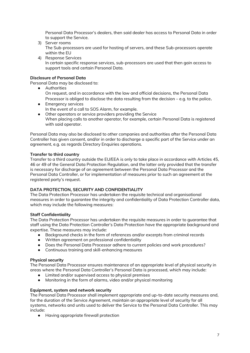Personal Data Processor's dealers, then said dealer has access to Personal Data in order to support the Service.

- 3) Server rooms The Sub-processors are used for hosting of servers, and these Sub-processors operate within the EU
- 4) Response Services In certain specific response services, sub-processors are used that then gain access to support tools and certain Personal Data.

# **Disclosure of Personal Data**

Personal Data may be disclosed to:

- Authorities On request, and in accordance with the law and official decisions, the Personal Data Processor is obliged to disclose the data resulting from the decision – e.g. to the police.
- Emergency services In the event of a call to SOS Alarm, for example.
- Other operators or service providers providing the Service When placing calls to another operator, for example, certain Personal Data is registered with said operator.

Personal Data may also be disclosed to other companies and authorities after the Personal Data Controller has given consent, and/or in order to discharge a specific part of the Service under an agreement, e.g. as regards Directory Enquiries operations.

#### **Transfer to third country**

Transfer to a third country outside the EU/EEA is only to take place in accordance with Articles 45, 46 or 49 of the General Data Protection Regulation, and the latter only provided that the transfer is necessary for discharge of an agreement between the Personal Data Processor and the Personal Data Controller, or for implementation of measures prior to such an agreement at the registered party's request.

#### **DATA PROTECTION, SECURITY AND CONFIDENTIALITY**

The Data Protection Processor has undertaken the requisite technical and organisational measures in order to guarantee the integrity and confidentiality of Data Protection Controller data, which may include the following measures:

#### **Staff Confidentiality**

The Data Protection Processor has undertaken the requisite measures in order to guarantee that staff using the Data Protection Controller's Data Protection have the appropriate background and expertise. These measures may include:

- **●** Background checks in the form of references and/or excerpts from criminal records
- **●** Written agreement on professional confidentiality
- **●** Does the Personal Data Processor adhere to current policies and work procedures?
- **●** Continuous training and skill-enhancing measures

#### **Physical security**

The Personal Data Processor ensures maintenance of an appropriate level of physical security in areas where the Personal Data Controller's Personal Data is processed, which may include:

- Limited and/or supervised access to physical premises
- Monitoring in the form of alarms, video and/or physical monitoring

#### **Equipment, system and network security**

The Personal Data Processor shall implement appropriate and up-to-date security measures and, for the duration of the Service Agreement, maintain an appropriate level of security for all systems, networks and units used to deliver the Service to the Personal Data Controller. This may include:

● Having appropriate firewall protection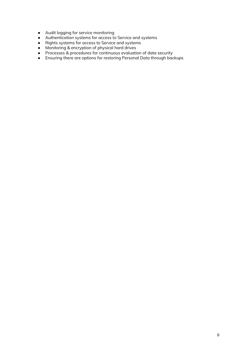- Audit logging for service monitoring
- Authentication systems for access to Service and systems
- Rights systems for access to Service and systems
- Monitoring & encryption of physical hard drives
- Processes & procedures for continuous evaluation of data security
- Ensuring there are options for restoring Personal Data through backups